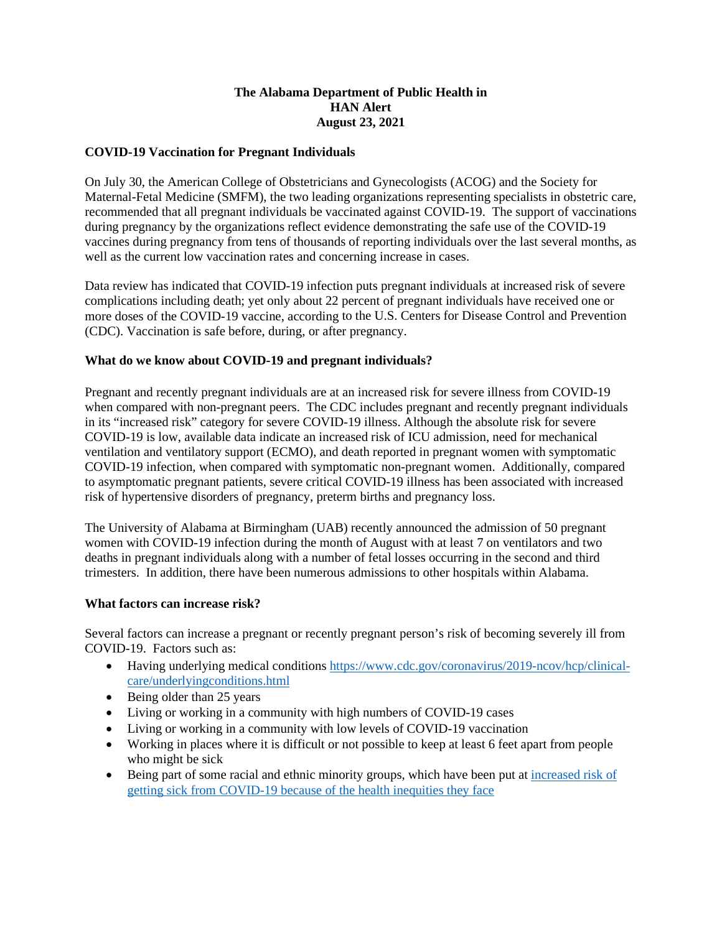## **The Alabama Department of Public Health in HAN Alert August 23, 2021**

## **COVID-19 Vaccination for Pregnant Individuals**

On July 30, the American College of Obstetricians and Gynecologists (ACOG) and the Society for Maternal-Fetal Medicine (SMFM), the two leading organizations representing specialists in obstetric care, recommended that all pregnant individuals be vaccinated against COVID-19. The support of vaccinations during pregnancy by the organizations reflect evidence demonstrating the safe use of the COVID-19 vaccines during pregnancy from tens of thousands of reporting individuals over the last several months, as well as the current low vaccination rates and concerning increase in cases.

Data review has indicated that COVID-19 infection puts pregnant individuals at increased risk of severe complications including death; yet only about 22 percent of pregnant individuals have received one or more doses of the COVID-19 vaccine, according to the U.S. Centers for Disease Control and Prevention (CDC). Vaccination is safe before, during, or after pregnancy.

## **What do we know about COVID-19 and pregnant individuals?**

Pregnant and recently pregnant individuals are at an increased risk for severe illness from COVID-19 when compared with non-pregnant peers. The CDC includes pregnant and recently pregnant individuals in its "increased risk" category for severe COVID-19 illness. Although the absolute risk for severe COVID-19 is low, available data indicate an increased risk of ICU admission, need for mechanical ventilation and ventilatory support (ECMO), and death reported in pregnant women with symptomatic COVID-19 infection, when compared with symptomatic non-pregnant women. Additionally, compared to asymptomatic pregnant patients, severe critical COVID-19 illness has been associated with increased risk of hypertensive disorders of pregnancy, preterm births and pregnancy loss.

The University of Alabama at Birmingham (UAB) recently announced the admission of 50 pregnant women with COVID-19 infection during the month of August with at least 7 on ventilators and two deaths in pregnant individuals along with a number of fetal losses occurring in the second and third trimesters. In addition, there have been numerous admissions to other hospitals within Alabama.

## **What factors can increase risk?**

Several factors can increase a pregnant or recently pregnant person's risk of becoming severely ill from COVID-19. Factors such as:

- Having underlying medical condition[s https://www.cdc.gov/coronavirus/2019-ncov/hcp/clinical](https://www.cdc.gov/coronavirus/2019-ncov/hcp/clinical-care/underlyingconditions.html)[care/underlyingconditions.html](https://www.cdc.gov/coronavirus/2019-ncov/hcp/clinical-care/underlyingconditions.html)
- Being older than 25 years
- Living or working in a community with high numbers of COVID-19 cases
- Living or working in a community with low levels of COVID-19 vaccination
- Working in places where it is difficult or not possible to keep at least 6 feet apart from people who might be sick
- Being part of some racial and ethnic minority groups, which have been put at [increased risk of](https://www.cdc.gov/coronavirus/2019-ncov/community/health-equity/race-ethnicity.html) getting sick from COVID-19 [because of the health inequities they face](https://www.cdc.gov/coronavirus/2019-ncov/community/health-equity/race-ethnicity.html)